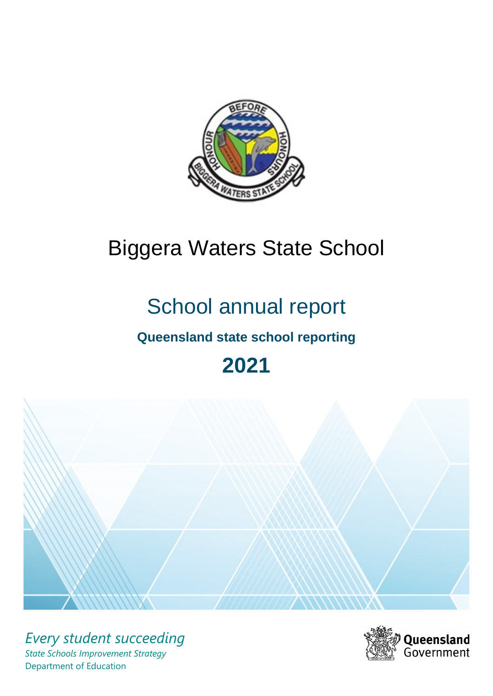

# Biggera Waters State School

# School annual report

# **Queensland state school reporting**

# **2021**



*Every student succeeding State Schools Improvement Strategy* Department of Education

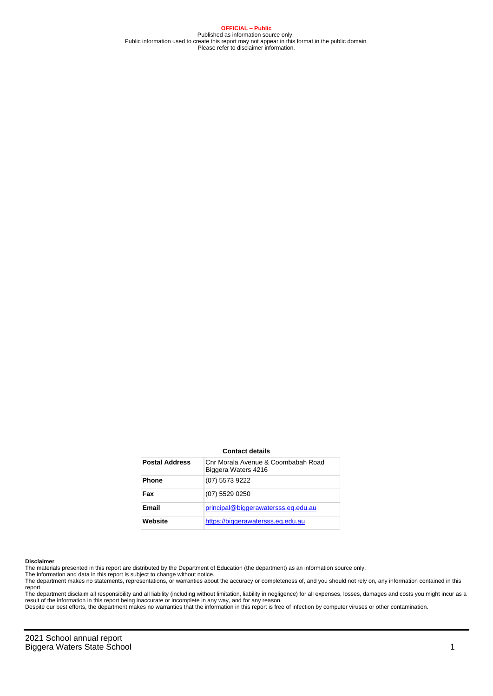**OFFICIAL – Public** Published as information source only. Public information used to create this report may not appear in this format in the public domain Please refer to disclaimer information.

#### **Contact details**

| <b>Postal Address</b> | Cnr Morala Avenue & Coombabah Road<br>Biggera Waters 4216 |
|-----------------------|-----------------------------------------------------------|
| <b>Phone</b>          | (07) 5573 9222                                            |
| Fax                   | (07) 5529 0250                                            |
| Email                 | principal@biggerawatersss.eg.edu.au                       |
| Website               | https://biggerawatersss.eq.edu.au                         |

#### **Disclaimer**

The materials presented in this report are distributed by the Department of Education (the department) as an information source only.

The information and data in this report is subject to change without notice.

The department makes no statements, representations, or warranties about the accuracy or completeness of, and you should not rely on, any information contained in this report.

The department disclaim all responsibility and all liability (including without limitation, liability in negligence) for all expenses, losses, damages and costs you might incur as a<br>result of the information in this report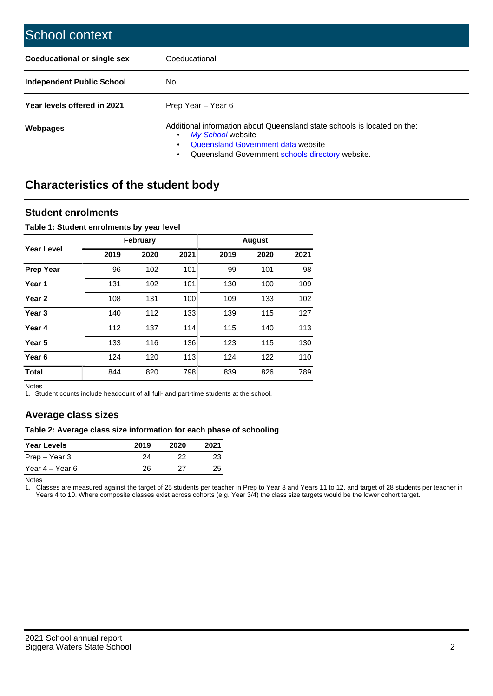| School context                   |                                                                                                                                                                                              |
|----------------------------------|----------------------------------------------------------------------------------------------------------------------------------------------------------------------------------------------|
| Coeducational or single sex      | Coeducational                                                                                                                                                                                |
| <b>Independent Public School</b> | No.                                                                                                                                                                                          |
| Year levels offered in 2021      | Prep Year - Year 6                                                                                                                                                                           |
| Webpages                         | Additional information about Queensland state schools is located on the:<br>My School website<br>Queensland Government data website<br>Queensland Government schools directory website.<br>٠ |

# **Characteristics of the student body**

### **Student enrolments**

#### **Table 1: Student enrolments by year level**

|                   |      | <b>February</b> |      |      | <b>August</b> |      |
|-------------------|------|-----------------|------|------|---------------|------|
| Year Level        | 2019 | 2020            | 2021 | 2019 | 2020          | 2021 |
| <b>Prep Year</b>  | 96   | 102             | 101  | 99   | 101           | 98   |
| Year <sub>1</sub> | 131  | 102             | 101  | 130  | 100           | 109  |
| Year <sub>2</sub> | 108  | 131             | 100  | 109  | 133           | 102  |
| Year <sub>3</sub> | 140  | 112             | 133  | 139  | 115           | 127  |
| Year 4            | 112  | 137             | 114  | 115  | 140           | 113  |
| Year 5            | 133  | 116             | 136  | 123  | 115           | 130  |
| Year <sub>6</sub> | 124  | 120             | 113  | 124  | 122           | 110  |
| <b>Total</b>      | 844  | 820             | 798  | 839  | 826           | 789  |

Notes

1. Student counts include headcount of all full- and part-time students at the school.

## **Average class sizes**

#### **Table 2: Average class size information for each phase of schooling**

| <b>Year Levels</b> | 2019 | 2020 | 2021 |
|--------------------|------|------|------|
| Prep – Year 3      | 24   | フフ   | 23   |
| Year 4 – Year 6    | 26   | 27   | 25   |

Notes

1. Classes are measured against the target of 25 students per teacher in Prep to Year 3 and Years 11 to 12, and target of 28 students per teacher in Years 4 to 10. Where composite classes exist across cohorts (e.g. Year 3/4) the class size targets would be the lower cohort target.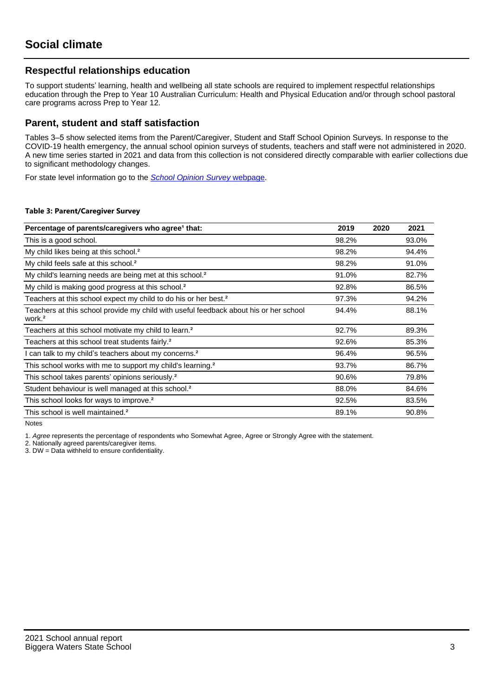## **Respectful relationships education**

To support students' learning, health and wellbeing all state schools are required to implement respectful relationships education through the Prep to Year 10 Australian Curriculum: Health and Physical Education and/or through school pastoral care programs across Prep to Year 12.

### **Parent, student and staff satisfaction**

Tables 3–5 show selected items from the Parent/Caregiver, Student and Staff School Opinion Surveys. In response to the COVID-19 health emergency, the annual school opinion surveys of students, teachers and staff were not administered in 2020. A new time series started in 2021 and data from this collection is not considered directly comparable with earlier collections due to significant methodology changes.

For state level information go to the **[School Opinion Survey](https://qed.qld.gov.au/publications/reports/statistics/schooling/schools/schoolopinionsurvey) webpage**.

#### **Table 3: Parent/Caregiver Survey**

| Percentage of parents/caregivers who agree <sup>1</sup> that:                                               | 2019  | 2020 | 2021  |
|-------------------------------------------------------------------------------------------------------------|-------|------|-------|
| This is a good school.                                                                                      | 98.2% |      | 93.0% |
| My child likes being at this school. <sup>2</sup>                                                           | 98.2% |      | 94.4% |
| My child feels safe at this school. <sup>2</sup>                                                            | 98.2% |      | 91.0% |
| My child's learning needs are being met at this school. <sup>2</sup>                                        | 91.0% |      | 82.7% |
| My child is making good progress at this school. <sup>2</sup>                                               | 92.8% |      | 86.5% |
| Teachers at this school expect my child to do his or her best. <sup>2</sup>                                 | 97.3% |      | 94.2% |
| Teachers at this school provide my child with useful feedback about his or her school<br>work. <sup>2</sup> | 94.4% |      | 88.1% |
| Teachers at this school motivate my child to learn. <sup>2</sup>                                            | 92.7% |      | 89.3% |
| Teachers at this school treat students fairly. <sup>2</sup>                                                 | 92.6% |      | 85.3% |
| can talk to my child's teachers about my concerns. <sup>2</sup>                                             | 96.4% |      | 96.5% |
| This school works with me to support my child's learning. <sup>2</sup>                                      | 93.7% |      | 86.7% |
| This school takes parents' opinions seriously. <sup>2</sup>                                                 | 90.6% |      | 79.8% |
| Student behaviour is well managed at this school. <sup>2</sup>                                              | 88.0% |      | 84.6% |
| This school looks for ways to improve. <sup>2</sup>                                                         | 92.5% |      | 83.5% |
| This school is well maintained. <sup>2</sup>                                                                | 89.1% |      | 90.8% |

Notes

1. Agree represents the percentage of respondents who Somewhat Agree, Agree or Strongly Agree with the statement.

2. Nationally agreed parents/caregiver items.

3. DW = Data withheld to ensure confidentiality.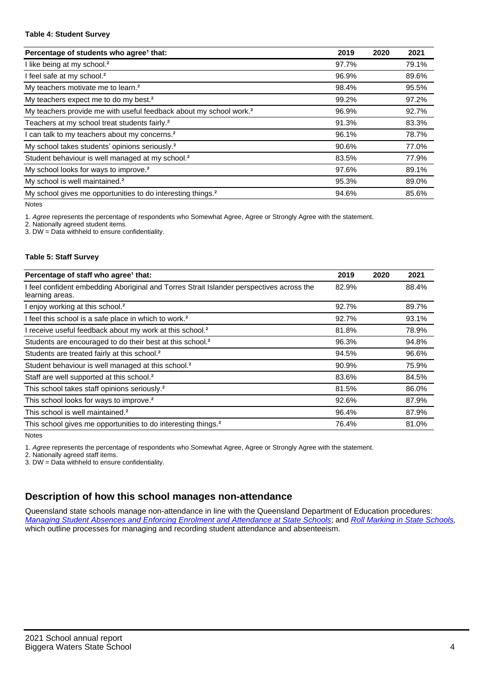#### **Table 4: Student Survey**

| Percentage of students who agree <sup>1</sup> that:                            | 2019  | 2020 | 2021  |
|--------------------------------------------------------------------------------|-------|------|-------|
| I like being at my school. <sup>2</sup>                                        | 97.7% |      | 79.1% |
| I feel safe at my school. <sup>2</sup>                                         | 96.9% |      | 89.6% |
| My teachers motivate me to learn. <sup>2</sup>                                 | 98.4% |      | 95.5% |
| My teachers expect me to do my best. <sup>2</sup>                              | 99.2% |      | 97.2% |
| My teachers provide me with useful feedback about my school work. <sup>2</sup> | 96.9% |      | 92.7% |
| Teachers at my school treat students fairly. <sup>2</sup>                      | 91.3% |      | 83.3% |
| I can talk to my teachers about my concerns. <sup>2</sup>                      | 96.1% |      | 78.7% |
| My school takes students' opinions seriously. <sup>2</sup>                     | 90.6% |      | 77.0% |
| Student behaviour is well managed at my school. <sup>2</sup>                   | 83.5% |      | 77.9% |
| My school looks for ways to improve. <sup>2</sup>                              | 97.6% |      | 89.1% |
| My school is well maintained. <sup>2</sup>                                     | 95.3% |      | 89.0% |
| My school gives me opportunities to do interesting things. <sup>2</sup>        | 94.6% |      | 85.6% |

Notes

1. Agree represents the percentage of respondents who Somewhat Agree, Agree or Strongly Agree with the statement.

2. Nationally agreed student items.

3. DW = Data withheld to ensure confidentiality.

#### **Table 5: Staff Survey**

| Percentage of staff who agree <sup>1</sup> that:                                                            | 2019  | 2020 | 2021  |
|-------------------------------------------------------------------------------------------------------------|-------|------|-------|
| I feel confident embedding Aboriginal and Torres Strait Islander perspectives across the<br>learning areas. | 82.9% |      | 88.4% |
| I enjoy working at this school. <sup>2</sup>                                                                | 92.7% |      | 89.7% |
| I feel this school is a safe place in which to work. <sup>2</sup>                                           | 92.7% |      | 93.1% |
| I receive useful feedback about my work at this school. <sup>2</sup>                                        | 81.8% |      | 78.9% |
| Students are encouraged to do their best at this school. <sup>2</sup>                                       | 96.3% |      | 94.8% |
| Students are treated fairly at this school. <sup>2</sup>                                                    | 94.5% |      | 96.6% |
| Student behaviour is well managed at this school. <sup>2</sup>                                              | 90.9% |      | 75.9% |
| Staff are well supported at this school. <sup>2</sup>                                                       | 83.6% |      | 84.5% |
| This school takes staff opinions seriously. <sup>2</sup>                                                    | 81.5% |      | 86.0% |
| This school looks for ways to improve. <sup>2</sup>                                                         | 92.6% |      | 87.9% |
| This school is well maintained. <sup>2</sup>                                                                | 96.4% |      | 87.9% |
| This school gives me opportunities to do interesting things. <sup>2</sup>                                   | 76.4% |      | 81.0% |

Notes

1. Agree represents the percentage of respondents who Somewhat Agree, Agree or Strongly Agree with the statement.

2. Nationally agreed staff items.

3. DW = Data withheld to ensure confidentiality.

## **Description of how this school manages non-attendance**

Queensland state schools manage non-attendance in line with the Queensland Department of Education procedures: [Managing Student Absences and Enforcing Enrolment and Attendance at State Schools](https://ppr.qed.qld.gov.au/pp/managing-student-absences-and-enforcing-enrolment-and-attendance-at-state-schools-procedure); and [Roll Marking in State Schools,](https://ppr.qed.qld.gov.au/pp/roll-marking-in-state-schools-procedure) which outline processes for managing and recording student attendance and absenteeism.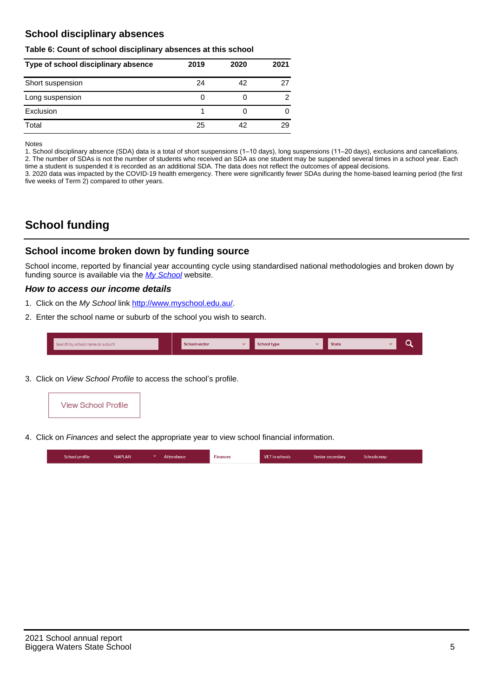## **School disciplinary absences**

#### **Table 6: Count of school disciplinary absences at this school**

| Type of school disciplinary absence | 2019 | 2020 | 2021          |
|-------------------------------------|------|------|---------------|
| Short suspension                    | 24   | 42   | 27            |
| Long suspension                     | O    |      | $\mathcal{P}$ |
| Exclusion                           |      |      | 0             |
| Total                               | 25   | 42   | 29            |

Notes

1. School disciplinary absence (SDA) data is a total of short suspensions (1–10 days), long suspensions (11–20 days), exclusions and cancellations. 2. The number of SDAs is not the number of students who received an SDA as one student may be suspended several times in a school year. Each time a student is suspended it is recorded as an additional SDA. The data does not reflect the outcomes of appeal decisions.

3. 2020 data was impacted by the COVID-19 health emergency. There were significantly fewer SDAs during the home-based learning period (the first five weeks of Term 2) compared to other years.

# **School funding**

## **School income broken down by funding source**

School income, reported by financial year accounting cycle using standardised national methodologies and broken down by funding source is available via the  $My$  School website.

#### **How to access our income details**

- 1. Click on the My School link <http://www.myschool.edu.au/>.
- 2. Enter the school name or suburb of the school you wish to search.

|  | Search by school name or suburb |  | <b>School sector</b> |  | $\sim$ and $\sim$ represents the set of $\sim$ | <b>State</b> |  |  |  |
|--|---------------------------------|--|----------------------|--|------------------------------------------------|--------------|--|--|--|
|--|---------------------------------|--|----------------------|--|------------------------------------------------|--------------|--|--|--|

3. Click on View School Profile to access the school's profile.



4. Click on Finances and select the appropriate year to view school financial information.

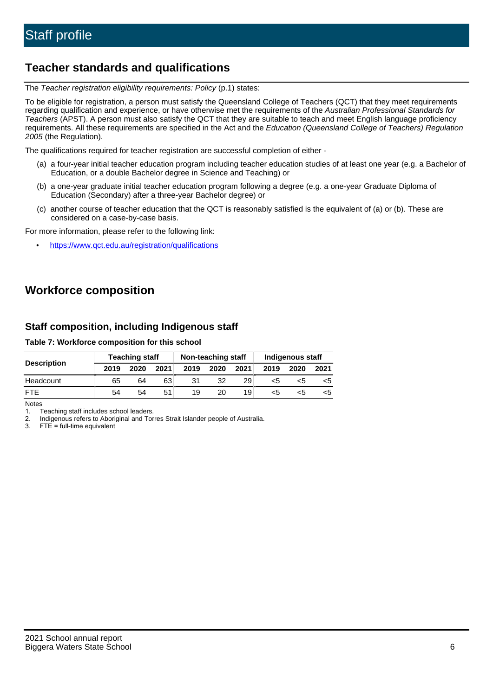# **Teacher standards and qualifications**

The Teacher registration eligibility requirements: Policy (p.1) states:

To be eligible for registration, a person must satisfy the Queensland College of Teachers (QCT) that they meet requirements regarding qualification and experience, or have otherwise met the requirements of the Australian Professional Standards for Teachers (APST). A person must also satisfy the QCT that they are suitable to teach and meet English language proficiency requirements. All these requirements are specified in the Act and the Education (Queensland College of Teachers) Regulation 2005 (the Regulation).

The qualifications required for teacher registration are successful completion of either -

- (a) a four-year initial teacher education program including teacher education studies of at least one year (e.g. a Bachelor of Education, or a double Bachelor degree in Science and Teaching) or
- (b) a one-year graduate initial teacher education program following a degree (e.g. a one-year Graduate Diploma of Education (Secondary) after a three-year Bachelor degree) or
- (c) another course of teacher education that the QCT is reasonably satisfied is the equivalent of (a) or (b). These are considered on a case-by-case basis.

For more information, please refer to the following link:

• <https://www.qct.edu.au/registration/qualifications>

# **Workforce composition**

## **Staff composition, including Indigenous staff**

#### **Table 7: Workforce composition for this school**

|                    |      | <b>Teaching staff</b> |      |      | Non-teaching staff |      | Indigenous staff |      |      |  |
|--------------------|------|-----------------------|------|------|--------------------|------|------------------|------|------|--|
| <b>Description</b> | 2019 | 2020                  | 2021 | 2019 | 2020               | 2021 | 2019             | 2020 | 2021 |  |
| Headcount          | 65   | 64                    | 63   | 31   | 32                 | 29   | <5               | <5   |      |  |
| <b>FTF</b>         | 54   | 54                    | 51   | 19   | 20                 | 19   | <5               | ה>   |      |  |

Notes

1. Teaching staff includes school leaders.

2. Indigenous refers to Aboriginal and Torres Strait Islander people of Australia.

3. FTE = full-time equivalent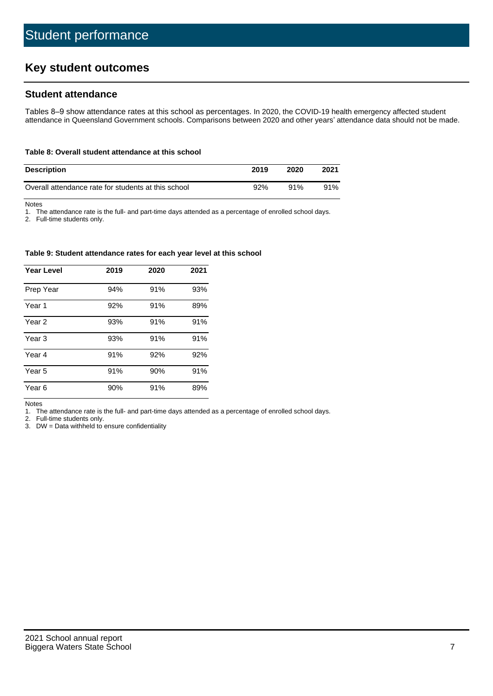# **Key student outcomes**

## **Student attendance**

Tables 8–9 show attendance rates at this school as percentages. In 2020, the COVID-19 health emergency affected student attendance in Queensland Government schools. Comparisons between 2020 and other years' attendance data should not be made.

#### **Table 8: Overall student attendance at this school**

| <b>Description</b>                                  | 2019 | 2020 | 2021 |
|-----------------------------------------------------|------|------|------|
| Overall attendance rate for students at this school | 92%  | 91%  | 91%  |

Notes

1. The attendance rate is the full- and part-time days attended as a percentage of enrolled school days.

2. Full-time students only.

#### **Table 9: Student attendance rates for each year level at this school**

| <b>Year Level</b> | 2019 | 2020 | 2021 |
|-------------------|------|------|------|
| Prep Year         | 94%  | 91%  | 93%  |
| Year 1            | 92%  | 91%  | 89%  |
| Year 2            | 93%  | 91%  | 91%  |
| Year 3            | 93%  | 91%  | 91%  |
| Year 4            | 91%  | 92%  | 92%  |
| Year 5            | 91%  | 90%  | 91%  |
| Year <sub>6</sub> | 90%  | 91%  | 89%  |

Notes

1. The attendance rate is the full- and part-time days attended as a percentage of enrolled school days.

2. Full-time students only.

3. DW = Data withheld to ensure confidentiality